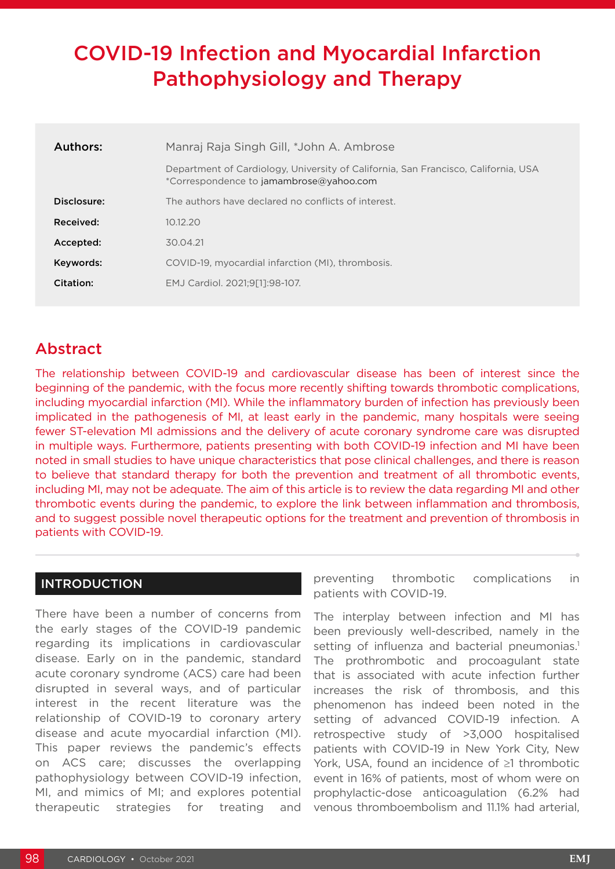# COVID-19 Infection and Myocardial Infarction Pathophysiology and Therapy

| Authors:    | Manraj Raja Singh Gill, *John A. Ambrose                                                                                      |
|-------------|-------------------------------------------------------------------------------------------------------------------------------|
|             | Department of Cardiology, University of California, San Francisco, California, USA<br>*Correspondence to jamambrose@yahoo.com |
| Disclosure: | The authors have declared no conflicts of interest.                                                                           |
| Received:   | 10.12.20                                                                                                                      |
| Accepted:   | 30.04.21                                                                                                                      |
| Keywords:   | COVID-19, myocardial infarction (MI), thrombosis.                                                                             |
| Citation:   | EMJ Cardiol. 2021:9[11:98-107.                                                                                                |

# Abstract

The relationship between COVID-19 and cardiovascular disease has been of interest since the beginning of the pandemic, with the focus more recently shifting towards thrombotic complications, including myocardial infarction (MI). While the inflammatory burden of infection has previously been implicated in the pathogenesis of MI, at least early in the pandemic, many hospitals were seeing fewer ST-elevation MI admissions and the delivery of acute coronary syndrome care was disrupted in multiple ways. Furthermore, patients presenting with both COVID-19 infection and MI have been noted in small studies to have unique characteristics that pose clinical challenges, and there is reason to believe that standard therapy for both the prevention and treatment of all thrombotic events, including MI, may not be adequate. The aim of this article is to review the data regarding MI and other thrombotic events during the pandemic, to explore the link between inflammation and thrombosis, and to suggest possible novel therapeutic options for the treatment and prevention of thrombosis in patients with COVID-19.

# INTRODUCTION

There have been a number of concerns from the early stages of the COVID-19 pandemic regarding its implications in cardiovascular disease. Early on in the pandemic, standard acute coronary syndrome (ACS) care had been disrupted in several ways, and of particular interest in the recent literature was the relationship of COVID-19 to coronary artery disease and acute myocardial infarction (MI). This paper reviews the pandemic's effects on ACS care; discusses the overlapping pathophysiology between COVID-19 infection, MI, and mimics of MI; and explores potential therapeutic strategies for treating and

preventing thrombotic complications in patients with COVID-19.

The interplay between infection and MI has been previously well-described, namely in the setting of influenza and bacterial pneumonias.<sup>1</sup> The prothrombotic and procoagulant state that is associated with acute infection further increases the risk of thrombosis, and this phenomenon has indeed been noted in the setting of advanced COVID-19 infection. A retrospective study of >3,000 hospitalised patients with COVID-19 in New York City, New York, USA, found an incidence of ≥1 thrombotic event in 16% of patients, most of whom were on prophylactic-dose anticoagulation (6.2% had venous thromboembolism and 11.1% had arterial,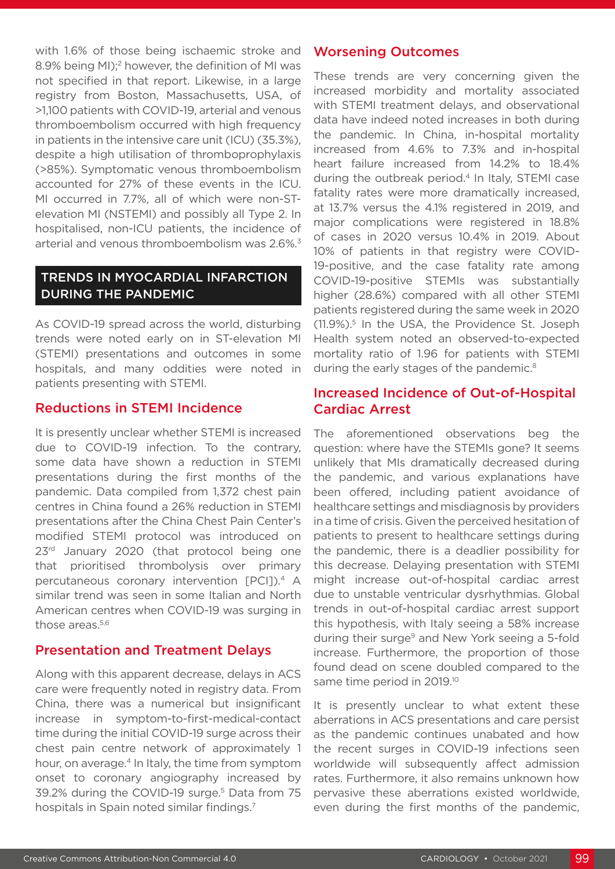with 1.6% of those being ischaemic stroke and 8.9% being MI);<sup>2</sup> however, the definition of MI was not specified in that report. Likewise, in a large registry from Boston, Massachusetts, USA, of >1,100 patients with COVID-19, arterial and venous thromboembolism occurred with high frequency in patients in the intensive care unit (ICU) (35.3%), despite a high utilisation of thromboprophylaxis (>85%). Symptomatic venous thromboembolism accounted for 27% of these events in the ICU. MI occurred in 7.7%, all of which were non-STelevation MI (NSTEMI) and possibly all Type 2. In hospitalised, non-ICU patients, the incidence of arterial and venous thromboembolism was 2.6%.3

## TRENDS IN MYOCARDIAL INFARCTION DURING THE PANDEMIC

As COVID-19 spread across the world, disturbing trends were noted early on in ST-elevation MI (STEMI) presentations and outcomes in some hospitals, and many oddities were noted in patients presenting with STEMI.

#### Reductions in STEMI Incidence

It is presently unclear whether STEMI is increased due to COVID-19 infection. To the contrary, some data have shown a reduction in STEMI presentations during the first months of the pandemic. Data compiled from 1,372 chest pain centres in China found a 26% reduction in STEMI presentations after the China Chest Pain Center's modified STEMI protocol was introduced on 23<sup>rd</sup> January 2020 (that protocol being one that prioritised thrombolysis over primary percutaneous coronary intervention [PCI]).4 A similar trend was seen in some Italian and North American centres when COVID-19 was surging in those areas.<sup>5,6</sup>

#### Presentation and Treatment Delays

Along with this apparent decrease, delays in ACS care were frequently noted in registry data. From China, there was a numerical but insignificant increase in symptom-to-first-medical-contact time during the initial COVID-19 surge across their chest pain centre network of approximately 1 hour, on average.<sup>4</sup> In Italy, the time from symptom onset to coronary angiography increased by 39.2% during the COVID-19 surge.<sup>5</sup> Data from 75 hospitals in Spain noted similar findings.7

### Worsening Outcomes

These trends are very concerning given the increased morbidity and mortality associated with STEMI treatment delays, and observational data have indeed noted increases in both during the pandemic. In China, in-hospital mortality increased from 4.6% to 7.3% and in-hospital heart failure increased from 14.2% to 18.4% during the outbreak period.4 In Italy, STEMI case fatality rates were more dramatically increased, at 13.7% versus the 4.1% registered in 2019, and major complications were registered in 18.8% of cases in 2020 versus 10.4% in 2019. About 10% of patients in that registry were COVID-19-positive, and the case fatality rate among COVID-19-positive STEMIs was substantially higher (28.6%) compared with all other STEMI patients registered during the same week in 2020 (11.9%).5 In the USA, the Providence St. Joseph Health system noted an observed-to-expected mortality ratio of 1.96 for patients with STEMI during the early stages of the pandemic.<sup>8</sup>

### Increased Incidence of Out-of-Hospital Cardiac Arrest

The aforementioned observations beg the question: where have the STEMIs gone? It seems unlikely that MIs dramatically decreased during the pandemic, and various explanations have been offered, including patient avoidance of healthcare settings and misdiagnosis by providers in a time of crisis. Given the perceived hesitation of patients to present to healthcare settings during the pandemic, there is a deadlier possibility for this decrease. Delaying presentation with STEMI might increase out-of-hospital cardiac arrest due to unstable ventricular dysrhythmias. Global trends in out-of-hospital cardiac arrest support this hypothesis, with Italy seeing a 58% increase during their surge<sup>9</sup> and New York seeing a 5-fold increase. Furthermore, the proportion of those found dead on scene doubled compared to the same time period in 2019.<sup>10</sup>

It is presently unclear to what extent these aberrations in ACS presentations and care persist as the pandemic continues unabated and how the recent surges in COVID-19 infections seen worldwide will subsequently affect admission rates. Furthermore, it also remains unknown how pervasive these aberrations existed worldwide, even during the first months of the pandemic,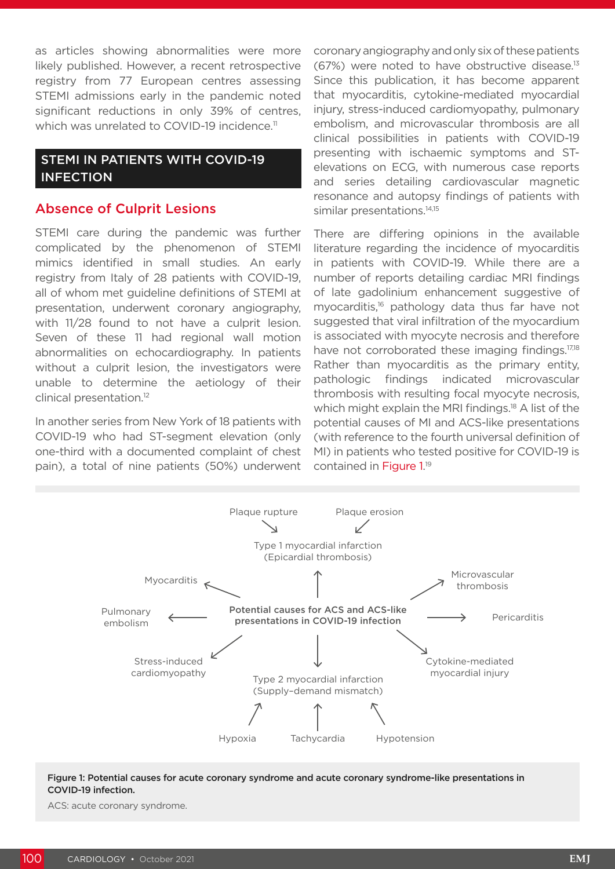as articles showing abnormalities were more likely published. However, a recent retrospective registry from 77 European centres assessing STEMI admissions early in the pandemic noted significant reductions in only 39% of centres, which was unrelated to COVID-19 incidence.<sup>11</sup>

#### STEMI IN PATIENTS WITH COVID-19 INFECTION

#### Absence of Culprit Lesions

STEMI care during the pandemic was further complicated by the phenomenon of STEMI mimics identified in small studies. An early registry from Italy of 28 patients with COVID-19, all of whom met guideline definitions of STEMI at presentation, underwent coronary angiography, with 11/28 found to not have a culprit lesion. Seven of these 11 had regional wall motion abnormalities on echocardiography. In patients without a culprit lesion, the investigators were unable to determine the aetiology of their clinical presentation.12

In another series from New York of 18 patients with COVID-19 who had ST-segment elevation (only one-third with a documented complaint of chest pain), a total of nine patients (50%) underwent

coronary angiography and only six of these patients  $(67%)$  were noted to have obstructive disease.<sup>13</sup> Since this publication, it has become apparent that myocarditis, cytokine-mediated myocardial injury, stress-induced cardiomyopathy, pulmonary embolism, and microvascular thrombosis are all clinical possibilities in patients with COVID-19 presenting with ischaemic symptoms and STelevations on ECG, with numerous case reports and series detailing cardiovascular magnetic resonance and autopsy findings of patients with similar presentations.<sup>14,15</sup>

There are differing opinions in the available literature regarding the incidence of myocarditis in patients with COVID-19. While there are a number of reports detailing cardiac MRI findings of late gadolinium enhancement suggestive of myocarditis,16 pathology data thus far have not suggested that viral infiltration of the myocardium is associated with myocyte necrosis and therefore have not corroborated these imaging findings.<sup>17,18</sup> Rather than myocarditis as the primary entity, pathologic findings indicated microvascular thrombosis with resulting focal myocyte necrosis, which might explain the MRI findings.<sup>18</sup> A list of the potential causes of MI and ACS-like presentations (with reference to the fourth universal definition of MI) in patients who tested positive for COVID-19 is contained in Figure 1.<sup>19</sup>



#### Figure 1: Potential causes for acute coronary syndrome and acute coronary syndrome-like presentations in COVID-19 infection.

ACS: acute coronary syndrome.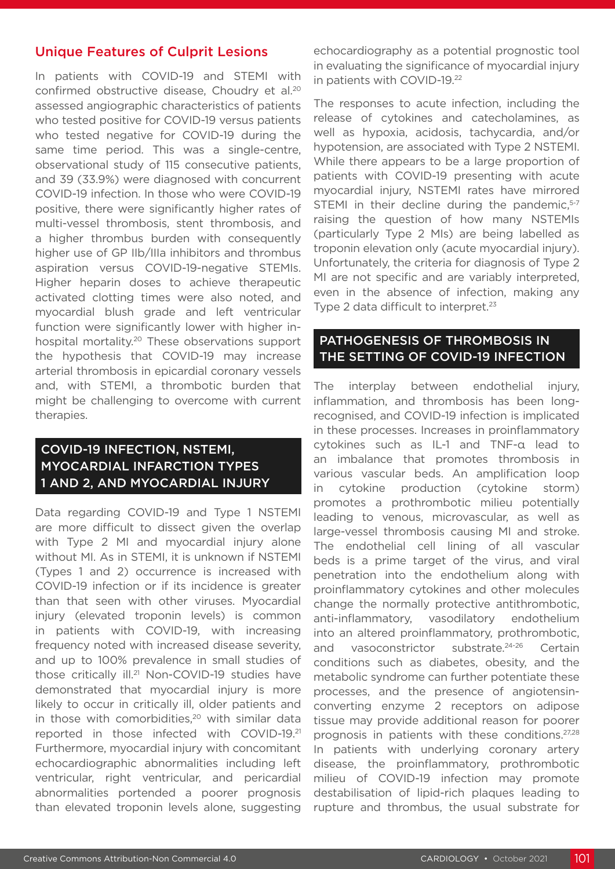#### Unique Features of Culprit Lesions

In patients with COVID-19 and STEMI with confirmed obstructive disease, Choudry et al.20 assessed angiographic characteristics of patients who tested positive for COVID-19 versus patients who tested negative for COVID-19 during the same time period. This was a single-centre, observational study of 115 consecutive patients, and 39 (33.9%) were diagnosed with concurrent COVID-19 infection. In those who were COVID-19 positive, there were significantly higher rates of multi-vessel thrombosis, stent thrombosis, and a higher thrombus burden with consequently higher use of GP IIb/IIIa inhibitors and thrombus aspiration versus COVID-19-negative STEMIs. Higher heparin doses to achieve therapeutic activated clotting times were also noted, and myocardial blush grade and left ventricular function were significantly lower with higher inhospital mortality.<sup>20</sup> These observations support the hypothesis that COVID-19 may increase arterial thrombosis in epicardial coronary vessels and, with STEMI, a thrombotic burden that might be challenging to overcome with current therapies.

### COVID-19 INFECTION, NSTEMI, MYOCARDIAL INFARCTION TYPES 1 AND 2, AND MYOCARDIAL INJURY

Data regarding COVID-19 and Type 1 NSTEMI are more difficult to dissect given the overlap with Type 2 MI and myocardial injury alone without MI. As in STEMI, it is unknown if NSTEMI (Types 1 and 2) occurrence is increased with COVID-19 infection or if its incidence is greater than that seen with other viruses. Myocardial injury (elevated troponin levels) is common in patients with COVID-19, with increasing frequency noted with increased disease severity, and up to 100% prevalence in small studies of those critically ill.<sup>21</sup> Non-COVID-19 studies have demonstrated that myocardial injury is more likely to occur in critically ill, older patients and in those with comorbidities, $20$  with similar data reported in those infected with COVID-19.21 Furthermore, myocardial injury with concomitant echocardiographic abnormalities including left ventricular, right ventricular, and pericardial abnormalities portended a poorer prognosis than elevated troponin levels alone, suggesting

echocardiography as a potential prognostic tool in evaluating the significance of myocardial injury in patients with COVID-19.22

The responses to acute infection, including the release of cytokines and catecholamines, as well as hypoxia, acidosis, tachycardia, and/or hypotension, are associated with Type 2 NSTEMI. While there appears to be a large proportion of patients with COVID-19 presenting with acute myocardial injury, NSTEMI rates have mirrored STEMI in their decline during the pandemic, $5-7$ raising the question of how many NSTEMIs (particularly Type 2 MIs) are being labelled as troponin elevation only (acute myocardial injury). Unfortunately, the criteria for diagnosis of Type 2 MI are not specific and are variably interpreted. even in the absence of infection, making any Type 2 data difficult to interpret.<sup>23</sup>

#### PATHOGENESIS OF THROMBOSIS IN THE SETTING OF COVID-19 INFECTION

The interplay between endothelial injury, inflammation, and thrombosis has been longrecognised, and COVID-19 infection is implicated in these processes. Increases in proinflammatory cytokines such as IL-1 and TNF-α lead to an imbalance that promotes thrombosis in various vascular beds. An amplification loop in cytokine production (cytokine storm) promotes a prothrombotic milieu potentially leading to venous, microvascular, as well as large-vessel thrombosis causing MI and stroke. The endothelial cell lining of all vascular beds is a prime target of the virus, and viral penetration into the endothelium along with proinflammatory cytokines and other molecules change the normally protective antithrombotic, anti-inflammatory, vasodilatory endothelium into an altered proinflammatory, prothrombotic, and vasoconstrictor substrate.<sup>24-26</sup> Certain conditions such as diabetes, obesity, and the metabolic syndrome can further potentiate these processes, and the presence of angiotensinconverting enzyme 2 receptors on adipose tissue may provide additional reason for poorer prognosis in patients with these conditions.27,28 In patients with underlying coronary artery disease, the proinflammatory, prothrombotic milieu of COVID-19 infection may promote destabilisation of lipid-rich plaques leading to rupture and thrombus, the usual substrate for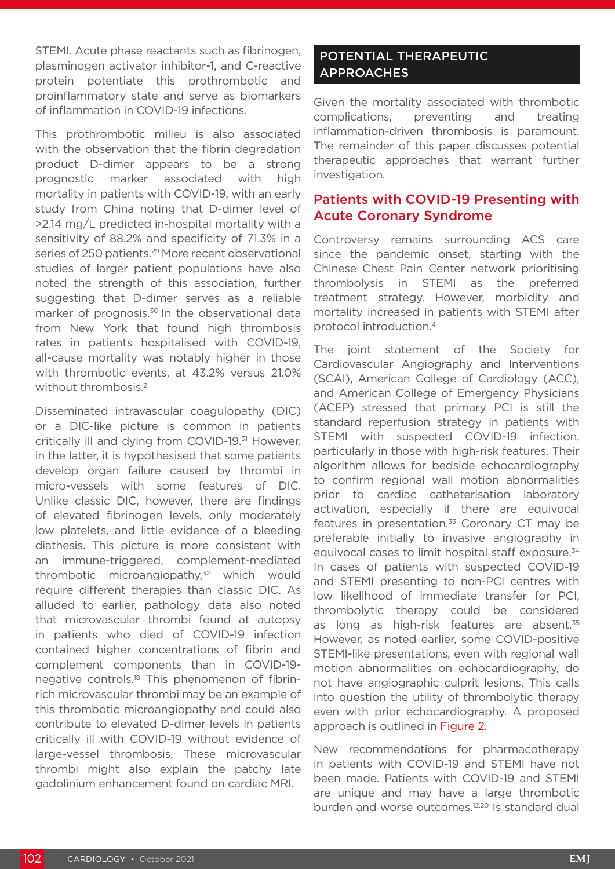STEMI. Acute phase reactants such as fibrinogen, plasminogen activator inhibitor-1, and C-reactive protein potentiate this prothrombotic and proinflammatory state and serve as biomarkers of inflammation in COVID-19 infections.

This prothrombotic milieu is also associated with the observation that the fibrin degradation product D-dimer appears to be a strong prognostic marker associated with high mortality in patients with COVID-19, with an early study from China noting that D-dimer level of >2.14 mg/L predicted in-hospital mortality with a sensitivity of 88.2% and specificity of 71.3% in a series of 250 patients.<sup>29</sup> More recent observational studies of larger patient populations have also noted the strength of this association, further suggesting that D-dimer serves as a reliable marker of prognosis.<sup>30</sup> In the observational data from New York that found high thrombosis rates in patients hospitalised with COVID-19, all-cause mortality was notably higher in those with thrombotic events, at 43.2% versus 21.0% without thrombosis.<sup>2</sup>

Disseminated intravascular coagulopathy (DIC) or a DIC-like picture is common in patients critically ill and dying from COVID-19.<sup>31</sup> However, in the latter, it is hypothesised that some patients develop organ failure caused by thrombi in micro-vessels with some features of DIC. Unlike classic DIC, however, there are findings of elevated fibrinogen levels, only moderately low platelets, and little evidence of a bleeding diathesis. This picture is more consistent with an immune-triggered, complement-mediated thrombotic microangiopathy.<sup>32</sup> which would require different therapies than classic DIC. As alluded to earlier, pathology data also noted that microvascular thrombi found at autopsy in patients who died of COVID-19 infection contained higher concentrations of fibrin and complement components than in COVID-19 negative controls.18 This phenomenon of fibrinrich microvascular thrombi may be an example of this thrombotic microangiopathy and could also contribute to elevated D-dimer levels in patients critically ill with COVID-19 without evidence of large-vessel thrombosis. These microvascular thrombi might also explain the patchy late gadolinium enhancement found on cardiac MRI.

# POTENTIAL THERAPEUTIC APPROACHES

Given the mortality associated with thrombotic complications, preventing and treating inflammation-driven thrombosis is paramount. The remainder of this paper discusses potential therapeutic approaches that warrant further investigation.

## Patients with COVID-19 Presenting with Acute Coronary Syndrome

Controversy remains surrounding ACS care since the pandemic onset, starting with the Chinese Chest Pain Center network prioritising thrombolysis in STEMI as the preferred treatment strategy. However, morbidity and mortality increased in patients with STEMI after protocol introduction.4

The joint statement of the Society for Cardiovascular Angiography and Interventions (SCAI), American College of Cardiology (ACC), and American College of Emergency Physicians (ACEP) stressed that primary PCI is still the standard reperfusion strategy in patients with STEMI with suspected COVID-19 infection, particularly in those with high-risk features. Their algorithm allows for bedside echocardiography to confirm regional wall motion abnormalities prior to cardiac catheterisation laboratory activation, especially if there are equivocal features in presentation. $33$  Coronary CT may be preferable initially to invasive angiography in equivocal cases to limit hospital staff exposure.<sup>34</sup> In cases of patients with suspected COVID-19 and STEMI presenting to non-PCI centres with low likelihood of immediate transfer for PCI, thrombolytic therapy could be considered as long as high-risk features are absent.<sup>35</sup> However, as noted earlier, some COVID-positive STEMI-like presentations, even with regional wall motion abnormalities on echocardiography, do not have angiographic culprit lesions. This calls into question the utility of thrombolytic therapy even with prior echocardiography. A proposed approach is outlined in Figure 2.

New recommendations for pharmacotherapy in patients with COVID-19 and STEMI have not been made. Patients with COVID-19 and STEMI are unique and may have a large thrombotic burden and worse outcomes.<sup>12,20</sup> Is standard dual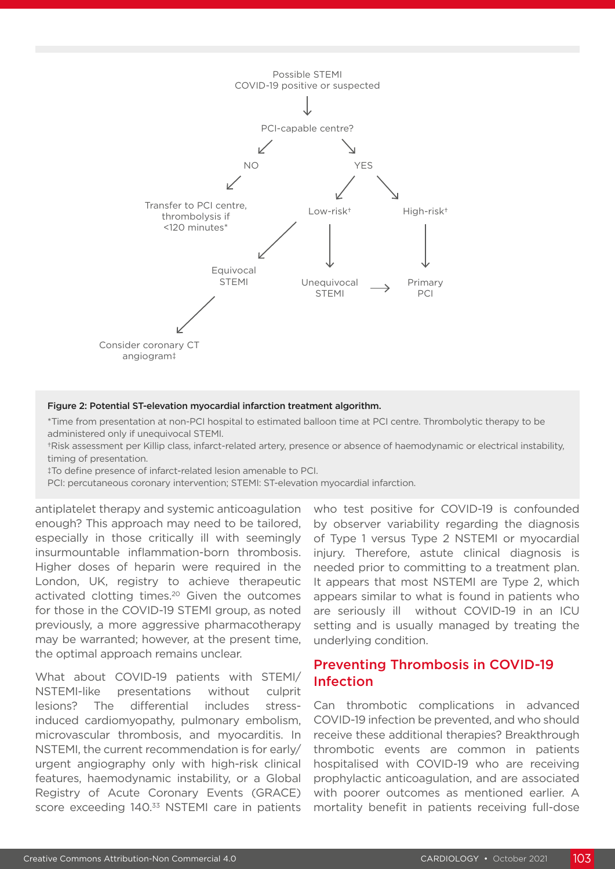

#### Figure 2: Potential ST-elevation myocardial infarction treatment algorithm.

\*Time from presentation at non-PCI hospital to estimated balloon time at PCI centre. Thrombolytic therapy to be administered only if unequivocal STEMI.

†Risk assessment per Killip class, infarct-related artery, presence or absence of haemodynamic or electrical instability, timing of presentation.

‡To define presence of infarct-related lesion amenable to PCI.

PCI: percutaneous coronary intervention; STEMI: ST-elevation myocardial infarction.

antiplatelet therapy and systemic anticoagulation enough? This approach may need to be tailored, especially in those critically ill with seemingly insurmountable inflammation-born thrombosis. Higher doses of heparin were required in the London, UK, registry to achieve therapeutic activated clotting times.<sup>20</sup> Given the outcomes for those in the COVID-19 STEMI group, as noted previously, a more aggressive pharmacotherapy may be warranted; however, at the present time, the optimal approach remains unclear.

What about COVID-19 patients with STEMI/ NSTEMI-like presentations without culprit lesions? The differential includes stressinduced cardiomyopathy, pulmonary embolism, microvascular thrombosis, and myocarditis. In NSTEMI, the current recommendation is for early/ urgent angiography only with high-risk clinical features, haemodynamic instability, or a Global Registry of Acute Coronary Events (GRACE) score exceeding 140.<sup>33</sup> NSTEMI care in patients

who test positive for COVID-19 is confounded by observer variability regarding the diagnosis of Type 1 versus Type 2 NSTEMI or myocardial injury. Therefore, astute clinical diagnosis is needed prior to committing to a treatment plan. It appears that most NSTEMI are Type 2, which appears similar to what is found in patients who are seriously ill without COVID-19 in an ICU setting and is usually managed by treating the underlying condition.

#### Preventing Thrombosis in COVID-19 Infection

Can thrombotic complications in advanced COVID-19 infection be prevented, and who should receive these additional therapies? Breakthrough thrombotic events are common in patients hospitalised with COVID-19 who are receiving prophylactic anticoagulation, and are associated with poorer outcomes as mentioned earlier. A mortality benefit in patients receiving full-dose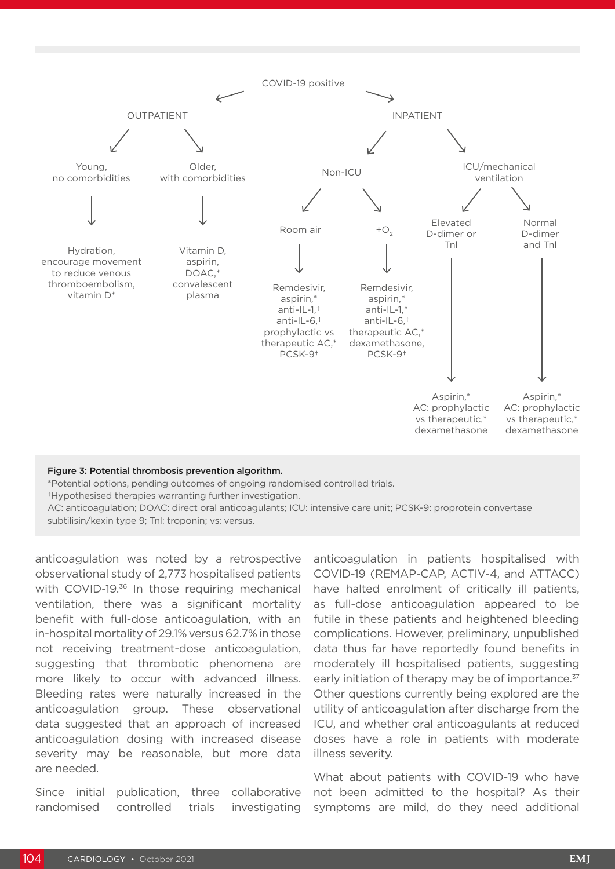

#### Figure 3: Potential thrombosis prevention algorithm.

\*Potential options, pending outcomes of ongoing randomised controlled trials.

†Hypothesised therapies warranting further investigation.

AC: anticoagulation; DOAC: direct oral anticoagulants; ICU: intensive care unit; PCSK-9: proprotein convertase subtilisin/kexin type 9; Tnl: troponin; vs: versus.

anticoagulation was noted by a retrospective observational study of 2,773 hospitalised patients with COVID-19.36 In those requiring mechanical ventilation, there was a significant mortality benefit with full-dose anticoagulation, with an in-hospital mortality of 29.1% versus 62.7% in those not receiving treatment-dose anticoagulation, suggesting that thrombotic phenomena are more likely to occur with advanced illness. Bleeding rates were naturally increased in the anticoagulation group. These observational data suggested that an approach of increased anticoagulation dosing with increased disease severity may be reasonable, but more data are needed.

Since initial publication, three collaborative randomised controlled trials investigating

anticoagulation in patients hospitalised with COVID-19 (REMAP-CAP, ACTIV-4, and ATTACC) have halted enrolment of critically ill patients, as full-dose anticoagulation appeared to be futile in these patients and heightened bleeding complications. However, preliminary, unpublished data thus far have reportedly found benefits in moderately ill hospitalised patients, suggesting early initiation of therapy may be of importance.<sup>37</sup> Other questions currently being explored are the utility of anticoagulation after discharge from the ICU, and whether oral anticoagulants at reduced doses have a role in patients with moderate illness severity.

What about patients with COVID-19 who have not been admitted to the hospital? As their symptoms are mild, do they need additional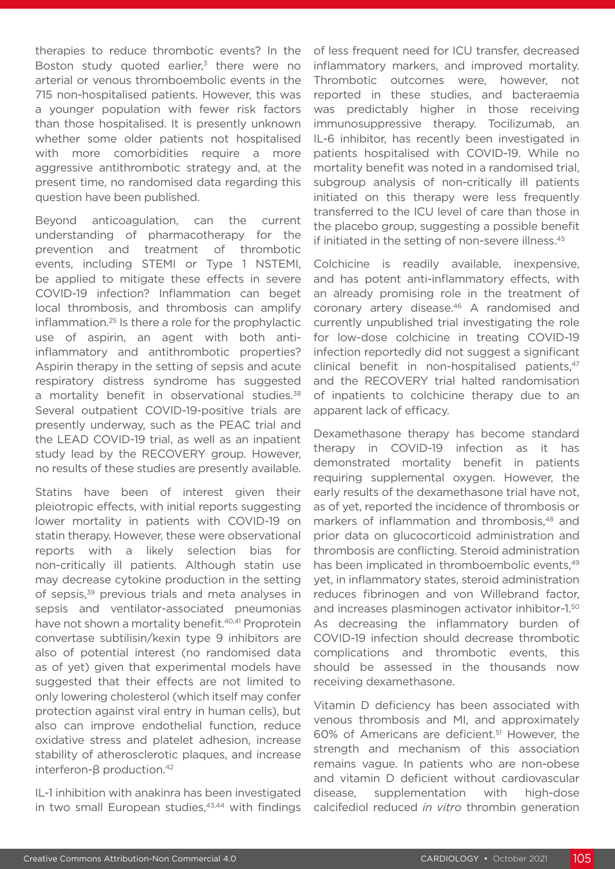therapies to reduce thrombotic events? In the Boston study quoted earlier, $3$  there were no arterial or venous thromboembolic events in the 715 non-hospitalised patients. However, this was a younger population with fewer risk factors than those hospitalised. It is presently unknown whether some older patients not hospitalised with more comorbidities require a more aggressive antithrombotic strategy and, at the present time, no randomised data regarding this question have been published.

Beyond anticoagulation, can the current understanding of pharmacotherapy for the prevention and treatment of thrombotic events, including STEMI or Type 1 NSTEMI, be applied to mitigate these effects in severe COVID-19 infection? Inflammation can beget local thrombosis, and thrombosis can amplify inflammation.25 Is there a role for the prophylactic use of aspirin, an agent with both antiinflammatory and antithrombotic properties? Aspirin therapy in the setting of sepsis and acute respiratory distress syndrome has suggested a mortality benefit in observational studies.<sup>38</sup> Several outpatient COVID-19-positive trials are presently underway, such as the PEAC trial and the LEAD COVID-19 trial, as well as an inpatient study lead by the RECOVERY group. However, no results of these studies are presently available.

Statins have been of interest given their pleiotropic effects, with initial reports suggesting lower mortality in patients with COVID-19 on statin therapy. However, these were observational reports with a likely selection bias for non-critically ill patients. Although statin use may decrease cytokine production in the setting of sepsis,<sup>39</sup> previous trials and meta analyses in sepsis and ventilator-associated pneumonias have not shown a mortality benefit.<sup>40,41</sup> Proprotein convertase subtilisin/kexin type 9 inhibitors are also of potential interest (no randomised data as of yet) given that experimental models have suggested that their effects are not limited to only lowering cholesterol (which itself may confer protection against viral entry in human cells), but also can improve endothelial function, reduce oxidative stress and platelet adhesion, increase stability of atherosclerotic plaques, and increase interferon-β production.<sup>42</sup>

IL-1 inhibition with anakinra has been investigated in two small European studies, $43,44$  with findings of less frequent need for ICU transfer, decreased inflammatory markers, and improved mortality. Thrombotic outcomes were, however, not reported in these studies, and bacteraemia was predictably higher in those receiving immunosuppressive therapy. Tocilizumab, an IL-6 inhibitor, has recently been investigated in patients hospitalised with COVID-19. While no mortality benefit was noted in a randomised trial, subgroup analysis of non-critically ill patients initiated on this therapy were less frequently transferred to the ICU level of care than those in the placebo group, suggesting a possible benefit if initiated in the setting of non-severe illness.<sup>45</sup>

Colchicine is readily available, inexpensive, and has potent anti-inflammatory effects, with an already promising role in the treatment of coronary artery disease.46 A randomised and currently unpublished trial investigating the role for low-dose colchicine in treating COVID-19 infection reportedly did not suggest a significant clinical benefit in non-hospitalised patients,<sup>47</sup> and the RECOVERY trial halted randomisation of inpatients to colchicine therapy due to an apparent lack of efficacy.

Dexamethasone therapy has become standard therapy in COVID-19 infection as it has demonstrated mortality benefit in patients requiring supplemental oxygen. However, the early results of the dexamethasone trial have not, as of yet, reported the incidence of thrombosis or markers of inflammation and thrombosis,<sup>48</sup> and prior data on glucocorticoid administration and thrombosis are conflicting. Steroid administration has been implicated in thromboembolic events.<sup>49</sup> yet, in inflammatory states, steroid administration reduces fibrinogen and von Willebrand factor, and increases plasminogen activator inhibitor-1.50 As decreasing the inflammatory burden of COVID-19 infection should decrease thrombotic complications and thrombotic events, this should be assessed in the thousands now receiving dexamethasone.

Vitamin D deficiency has been associated with venous thrombosis and MI, and approximately 60% of Americans are deficient.51 However, the strength and mechanism of this association remains vague. In patients who are non-obese and vitamin D deficient without cardiovascular disease, supplementation with high-dose calcifediol reduced *in vitro* thrombin generation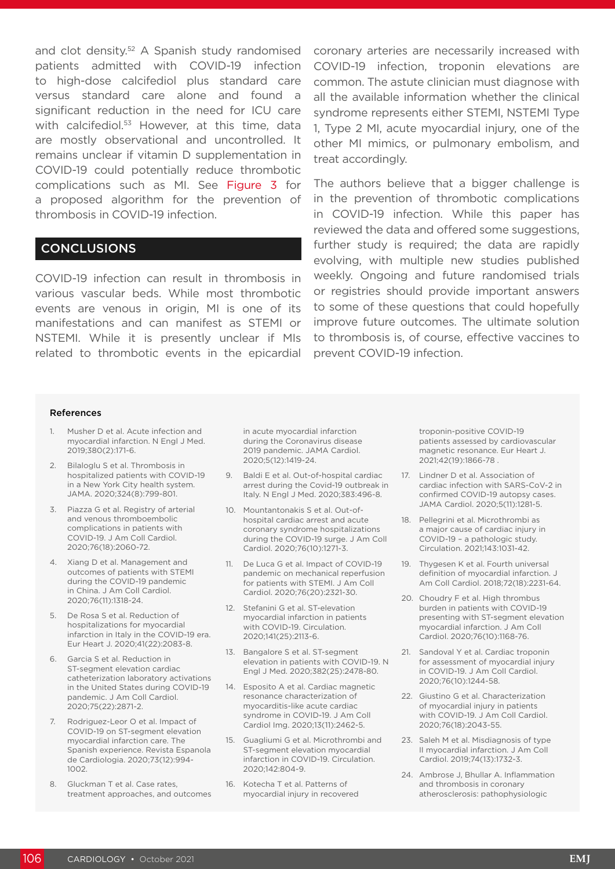and clot density.<sup>52</sup> A Spanish study randomised patients admitted with COVID-19 infection to high-dose calcifediol plus standard care versus standard care alone and found a significant reduction in the need for ICU care with calcifediol.<sup>53</sup> However, at this time, data are mostly observational and uncontrolled. It remains unclear if vitamin D supplementation in COVID-19 could potentially reduce thrombotic complications such as MI. See Figure 3 for a proposed algorithm for the prevention of thrombosis in COVID-19 infection.

#### **CONCLUSIONS**

COVID-19 infection can result in thrombosis in various vascular beds. While most thrombotic events are venous in origin, MI is one of its manifestations and can manifest as STEMI or NSTEMI. While it is presently unclear if MIs related to thrombotic events in the epicardial coronary arteries are necessarily increased with COVID-19 infection, troponin elevations are common. The astute clinician must diagnose with all the available information whether the clinical syndrome represents either STEMI, NSTEMI Type 1, Type 2 MI, acute myocardial injury, one of the other MI mimics, or pulmonary embolism, and treat accordingly.

The authors believe that a bigger challenge is in the prevention of thrombotic complications in COVID-19 infection. While this paper has reviewed the data and offered some suggestions, further study is required; the data are rapidly evolving, with multiple new studies published weekly. Ongoing and future randomised trials or registries should provide important answers to some of these questions that could hopefully improve future outcomes. The ultimate solution to thrombosis is, of course, effective vaccines to prevent COVID-19 infection.

#### References

- 1. Musher D et al. Acute infection and myocardial infarction. N Engl J Med. 2019;380(2):171-6.
- 2. Bilaloglu S et al. Thrombosis in hospitalized patients with COVID-19 in a New York City health system. JAMA. 2020;324(8):799-801.
- 3. Piazza G et al. Registry of arterial and venous thromboembolic complications in patients with COVID-19. J Am Coll Cardiol. 2020;76(18):2060-72.
- 4. Xiang D et al. Management and outcomes of patients with STEMI during the COVID-19 pandemic in China. J Am Coll Cardiol. 2020;76(11):1318-24.
- 5. De Rosa S et al. Reduction of hospitalizations for myocardial infarction in Italy in the COVID-19 era. Eur Heart J. 2020;41(22):2083-8.
- 6. Garcia S et al. Reduction in ST-segment elevation cardiac catheterization laboratory activations in the United States during COVID-19 pandemic. J Am Coll Cardiol. 2020;75(22):2871-2.
- 7. Rodriguez-Leor O et al. Impact of COVID-19 on ST-segment elevation myocardial infarction care. The Spanish experience. Revista Espanola de Cardiologia. 2020;73(12):994- 1002.
- 8. Gluckman T et al. Case rates, treatment approaches, and outcomes

in acute myocardial infarction during the Coronavirus disease 2019 pandemic. JAMA Cardiol. 2020;5(12):1419-24.

- 9. Baldi E et al. Out-of-hospital cardiac arrest during the Covid-19 outbreak in Italy. N Engl J Med. 2020;383:496-8.
- 10. Mountantonakis S et al. Out-ofhospital cardiac arrest and acute coronary syndrome hospitalizations during the COVID-19 surge. J Am Coll Cardiol. 2020;76(10):1271-3.
- 11. De Luca G et al. Impact of COVID-19 pandemic on mechanical reperfusion for patients with STEMI. J Am Coll Cardiol. 2020;76(20):2321-30.
- 12. Stefanini G et al. ST-elevation myocardial infarction in patients with COVID-19. Circulation. 2020;141(25):2113-6.
- 13. Bangalore S et al. ST-segment elevation in patients with COVID-19. N Engl J Med. 2020;382(25):2478-80.
- 14. Esposito A et al. Cardiac magnetic resonance characterization of myocarditis-like acute cardiac syndrome in COVID-19. J Am Coll Cardiol Img. 2020;13(11):2462-5.
- 15. Guagliumi G et al. Microthrombi and ST-segment elevation myocardial infarction in COVID-19. Circulation. 2020;142:804-9.
- 16. Kotecha T et al. Patterns of myocardial injury in recovered

troponin-positive COVID-19 patients assessed by cardiovascular magnetic resonance. Eur Heart J. 2021;42(19):1866-78 .

- 17. Lindner D et al. Association of cardiac infection with SARS-CoV-2 in confirmed COVID-19 autopsy cases. JAMA Cardiol. 2020;5(11):1281-5.
- 18. Pellegrini et al. Microthrombi as a major cause of cardiac injury in COVID-19 – a pathologic study. Circulation. 2021;143:1031-42.
- 19. Thygesen K et al. Fourth universal definition of myocardial infarction. J Am Coll Cardiol. 2018;72(18):2231-64.
- 20. Choudry F et al. High thrombus burden in patients with COVID-19 presenting with ST-segment elevation myocardial infarction. J Am Coll Cardiol. 2020;76(10):1168-76.
- 21. Sandoval Y et al. Cardiac troponin for assessment of myocardial injury in COVID-19. J Am Coll Cardiol. 2020;76(10):1244-58.
- 22. Giustino G et al. Characterization of myocardial injury in patients with COVID-19. J Am Coll Cardiol. 2020;76(18):2043-55.
- 23. Saleh M et al. Misdiagnosis of type II myocardial infarction. J Am Coll Cardiol. 2019;74(13):1732-3.
- 24. Ambrose J, Bhullar A. Inflammation and thrombosis in coronary atherosclerosis: pathophysiologic